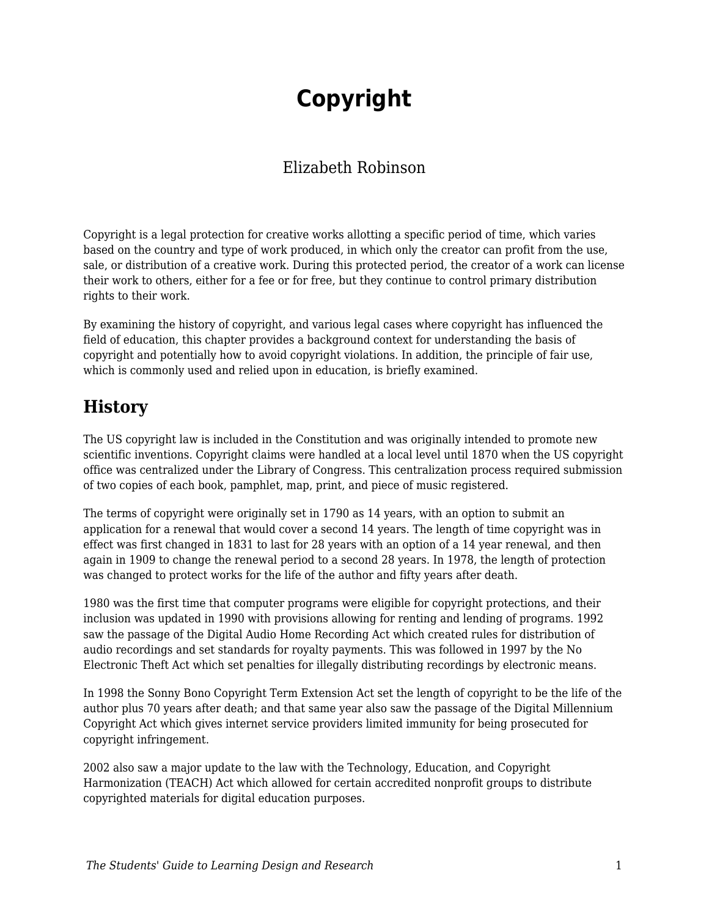# **Copyright**

### Elizabeth Robinson

Copyright is a legal protection for creative works allotting a specific period of time, which varies based on the country and type of work produced, in which only the creator can profit from the use, sale, or distribution of a creative work. During this protected period, the creator of a work can license their work to others, either for a fee or for free, but they continue to control primary distribution rights to their work.

By examining the history of copyright, and various legal cases where copyright has influenced the field of education, this chapter provides a background context for understanding the basis of copyright and potentially how to avoid copyright violations. In addition, the principle of fair use, which is commonly used and relied upon in education, is briefly examined.

# **History**

The US copyright law is included in the Constitution and was originally intended to promote new scientific inventions. Copyright claims were handled at a local level until 1870 when the US copyright office was centralized under the Library of Congress. This centralization process required submission of two copies of each book, pamphlet, map, print, and piece of music registered.

The terms of copyright were originally set in 1790 as 14 years, with an option to submit an application for a renewal that would cover a second 14 years. The length of time copyright was in effect was first changed in 1831 to last for 28 years with an option of a 14 year renewal, and then again in 1909 to change the renewal period to a second 28 years. In 1978, the length of protection was changed to protect works for the life of the author and fifty years after death.

1980 was the first time that computer programs were eligible for copyright protections, and their inclusion was updated in 1990 with provisions allowing for renting and lending of programs. 1992 saw the passage of the Digital Audio Home Recording Act which created rules for distribution of audio recordings and set standards for royalty payments. This was followed in 1997 by the No Electronic Theft Act which set penalties for illegally distributing recordings by electronic means.

In 1998 the Sonny Bono Copyright Term Extension Act set the length of copyright to be the life of the author plus 70 years after death; and that same year also saw the passage of the Digital Millennium Copyright Act which gives internet service providers limited immunity for being prosecuted for copyright infringement.

2002 also saw a major update to the law with the Technology, Education, and Copyright Harmonization (TEACH) Act which allowed for certain accredited nonprofit groups to distribute copyrighted materials for digital education purposes.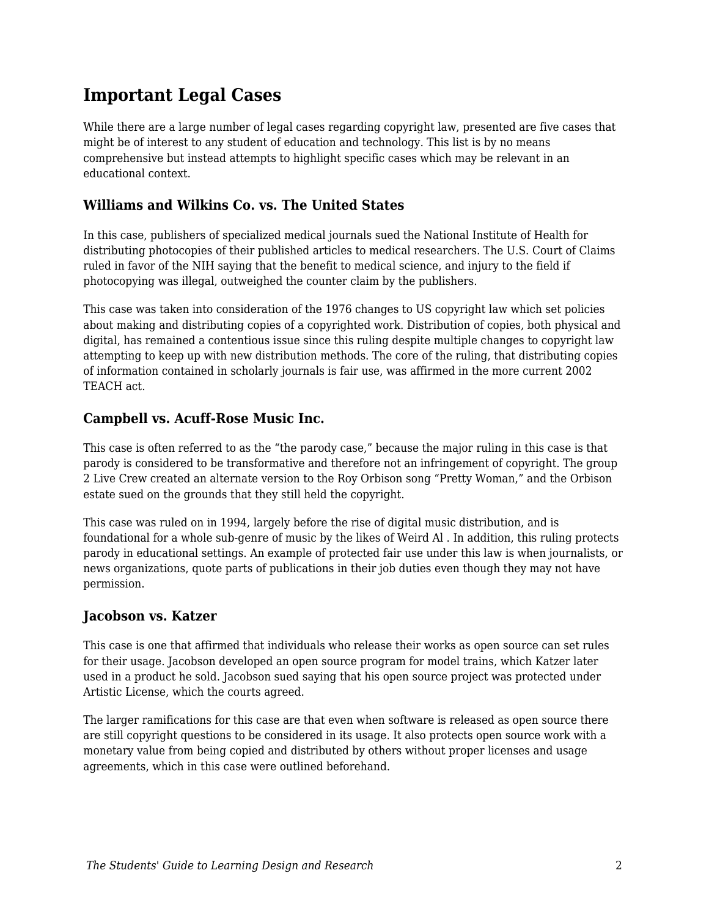# **Important Legal Cases**

While there are a large number of legal cases regarding copyright law, presented are five cases that might be of interest to any student of education and technology. This list is by no means comprehensive but instead attempts to highlight specific cases which may be relevant in an educational context.

### **Williams and Wilkins Co. vs. The United States**

In this case, publishers of specialized medical journals sued the National Institute of Health for distributing photocopies of their published articles to medical researchers. The U.S. Court of Claims ruled in favor of the NIH saying that the benefit to medical science, and injury to the field if photocopying was illegal, outweighed the counter claim by the publishers.

This case was taken into consideration of the 1976 changes to US copyright law which set policies about making and distributing copies of a copyrighted work. Distribution of copies, both physical and digital, has remained a contentious issue since this ruling despite multiple changes to copyright law attempting to keep up with new distribution methods. The core of the ruling, that distributing copies of information contained in scholarly journals is fair use, was affirmed in the more current 2002 TEACH act.

### **Campbell vs. Acuff-Rose Music Inc.**

This case is often referred to as the "the parody case," because the major ruling in this case is that parody is considered to be transformative and therefore not an infringement of copyright. The group 2 Live Crew created an alternate version to the Roy Orbison song "Pretty Woman," and the Orbison estate sued on the grounds that they still held the copyright.

This case was ruled on in 1994, largely before the rise of digital music distribution, and is foundational for a whole sub-genre of music by the likes of Weird Al . In addition, this ruling protects parody in educational settings. An example of protected fair use under this law is when journalists, or news organizations, quote parts of publications in their job duties even though they may not have permission.

### **Jacobson vs. Katzer**

This case is one that affirmed that individuals who release their works as open source can set rules for their usage. Jacobson developed an open source program for model trains, which Katzer later used in a product he sold. Jacobson sued saying that his open source project was protected under Artistic License, which the courts agreed.

The larger ramifications for this case are that even when software is released as open source there are still copyright questions to be considered in its usage. It also protects open source work with a monetary value from being copied and distributed by others without proper licenses and usage agreements, which in this case were outlined beforehand.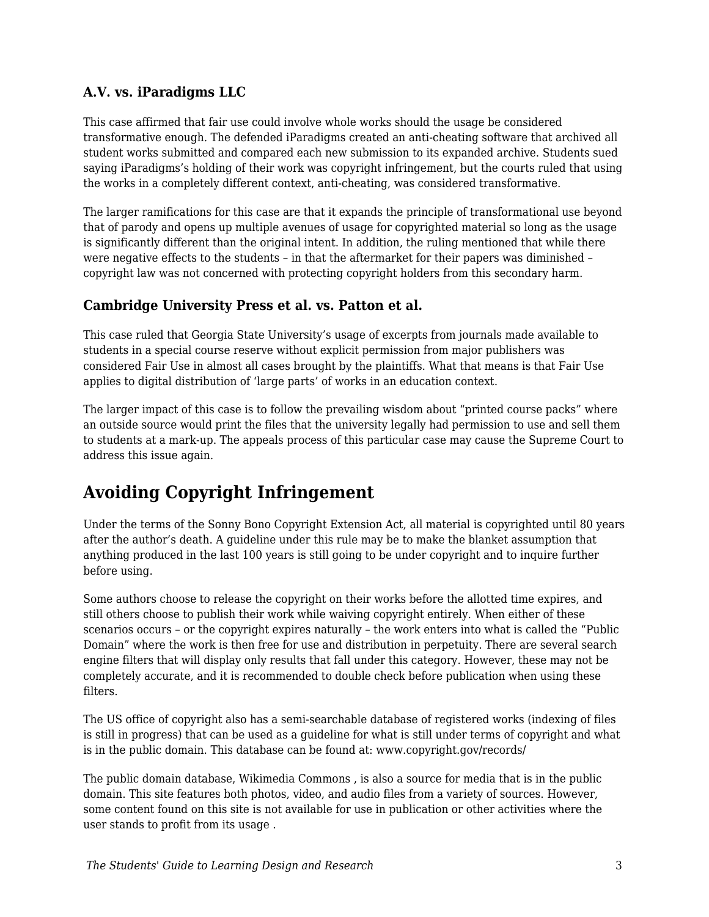### **A.V. vs. iParadigms LLC**

This case affirmed that fair use could involve whole works should the usage be considered transformative enough. The defended iParadigms created an anti-cheating software that archived all student works submitted and compared each new submission to its expanded archive. Students sued saying iParadigms's holding of their work was copyright infringement, but the courts ruled that using the works in a completely different context, anti-cheating, was considered transformative.

The larger ramifications for this case are that it expands the principle of transformational use beyond that of parody and opens up multiple avenues of usage for copyrighted material so long as the usage is significantly different than the original intent. In addition, the ruling mentioned that while there were negative effects to the students – in that the aftermarket for their papers was diminished – copyright law was not concerned with protecting copyright holders from this secondary harm.

### **Cambridge University Press et al. vs. Patton et al.**

This case ruled that Georgia State University's usage of excerpts from journals made available to students in a special course reserve without explicit permission from major publishers was considered Fair Use in almost all cases brought by the plaintiffs. What that means is that Fair Use applies to digital distribution of 'large parts' of works in an education context.

The larger impact of this case is to follow the prevailing wisdom about "printed course packs" where an outside source would print the files that the university legally had permission to use and sell them to students at a mark-up. The appeals process of this particular case may cause the Supreme Court to address this issue again.

# **Avoiding Copyright Infringement**

Under the terms of the Sonny Bono Copyright Extension Act, all material is copyrighted until 80 years after the author's death. A guideline under this rule may be to make the blanket assumption that anything produced in the last 100 years is still going to be under copyright and to inquire further before using.

Some authors choose to release the copyright on their works before the allotted time expires, and still others choose to publish their work while waiving copyright entirely. When either of these scenarios occurs – or the copyright expires naturally – the work enters into what is called the "Public Domain" where the work is then free for use and distribution in perpetuity. There are several search engine filters that will display only results that fall under this category. However, these may not be completely accurate, and it is recommended to double check before publication when using these filters.

The US office of copyright also has a semi-searchable database of registered works (indexing of files is still in progress) that can be used as a guideline for what is still under terms of copyright and what is in the public domain. This database can be found at: www.copyright.gov/records/

The public domain database, Wikimedia Commons , is also a source for media that is in the public domain. This site features both photos, video, and audio files from a variety of sources. However, some content found on this site is not available for use in publication or other activities where the user stands to profit from its usage .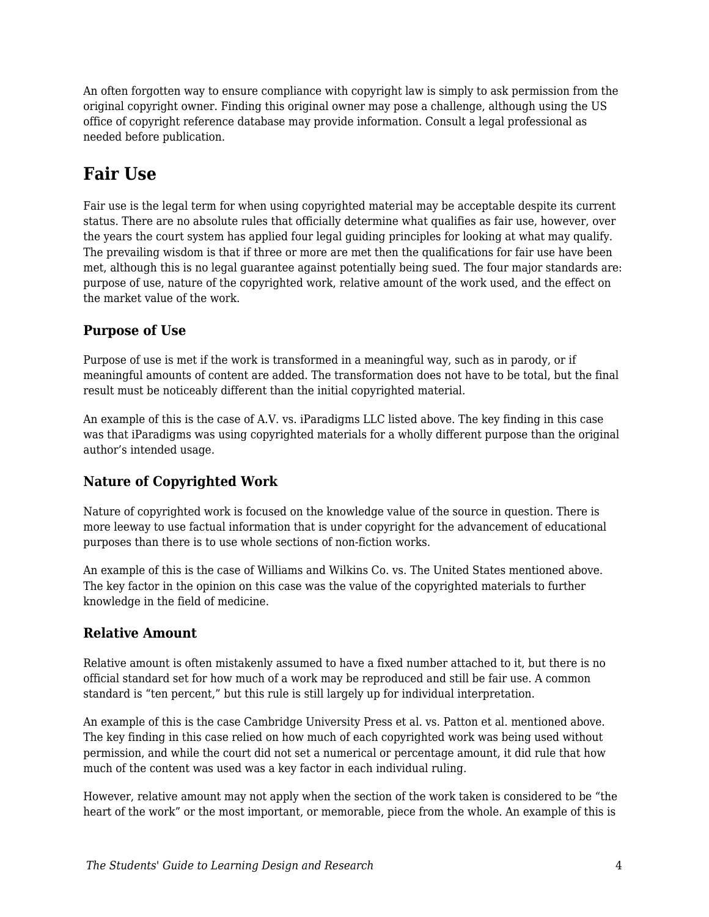An often forgotten way to ensure compliance with copyright law is simply to ask permission from the original copyright owner. Finding this original owner may pose a challenge, although using the US office of copyright reference database may provide information. Consult a legal professional as needed before publication.

# **Fair Use**

Fair use is the legal term for when using copyrighted material may be acceptable despite its current status. There are no absolute rules that officially determine what qualifies as fair use, however, over the years the court system has applied four legal guiding principles for looking at what may qualify. The prevailing wisdom is that if three or more are met then the qualifications for fair use have been met, although this is no legal guarantee against potentially being sued. The four major standards are: purpose of use, nature of the copyrighted work, relative amount of the work used, and the effect on the market value of the work.

### **Purpose of Use**

Purpose of use is met if the work is transformed in a meaningful way, such as in parody, or if meaningful amounts of content are added. The transformation does not have to be total, but the final result must be noticeably different than the initial copyrighted material.

An example of this is the case of A.V. vs. iParadigms LLC listed above. The key finding in this case was that iParadigms was using copyrighted materials for a wholly different purpose than the original author's intended usage.

### **Nature of Copyrighted Work**

Nature of copyrighted work is focused on the knowledge value of the source in question. There is more leeway to use factual information that is under copyright for the advancement of educational purposes than there is to use whole sections of non-fiction works.

An example of this is the case of Williams and Wilkins Co. vs. The United States mentioned above. The key factor in the opinion on this case was the value of the copyrighted materials to further knowledge in the field of medicine.

### **Relative Amount**

Relative amount is often mistakenly assumed to have a fixed number attached to it, but there is no official standard set for how much of a work may be reproduced and still be fair use. A common standard is "ten percent," but this rule is still largely up for individual interpretation.

An example of this is the case Cambridge University Press et al. vs. Patton et al. mentioned above. The key finding in this case relied on how much of each copyrighted work was being used without permission, and while the court did not set a numerical or percentage amount, it did rule that how much of the content was used was a key factor in each individual ruling.

However, relative amount may not apply when the section of the work taken is considered to be "the heart of the work" or the most important, or memorable, piece from the whole. An example of this is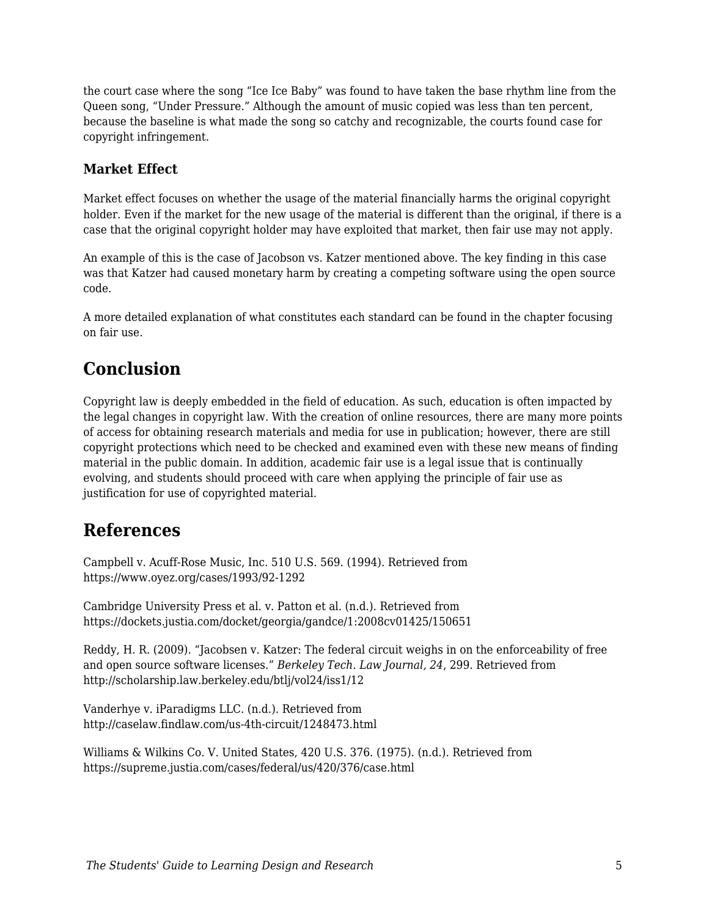the court case where the song "Ice Ice Baby" was found to have taken the base rhythm line from the Queen song, "Under Pressure." Although the amount of music copied was less than ten percent, because the baseline is what made the song so catchy and recognizable, the courts found case for copyright infringement.

### **Market Effect**

Market effect focuses on whether the usage of the material financially harms the original copyright holder. Even if the market for the new usage of the material is different than the original, if there is a case that the original copyright holder may have exploited that market, then fair use may not apply.

An example of this is the case of Jacobson vs. Katzer mentioned above. The key finding in this case was that Katzer had caused monetary harm by creating a competing software using the open source code.

A more detailed explanation of what constitutes each standard can be found in the chapter focusing on fair use.

### **Conclusion**

Copyright law is deeply embedded in the field of education. As such, education is often impacted by the legal changes in copyright law. With the creation of online resources, there are many more points of access for obtaining research materials and media for use in publication; however, there are still copyright protections which need to be checked and examined even with these new means of finding material in the public domain. In addition, academic fair use is a legal issue that is continually evolving, and students should proceed with care when applying the principle of fair use as justification for use of copyrighted material.

### **References**

Campbell v. Acuff-Rose Music, Inc. 510 U.S. 569. (1994). Retrieved from https://www.oyez.org/cases/1993/92-1292

Cambridge University Press et al. v. Patton et al. (n.d.). Retrieved from https://dockets.justia.com/docket/georgia/gandce/1:2008cv01425/150651

Reddy, H. R. (2009). "Jacobsen v. Katzer: The federal circuit weighs in on the enforceability of free and open source software licenses." *Berkeley Tech. Law Journal, 24*, 299. Retrieved from http://scholarship.law.berkeley.edu/btlj/vol24/iss1/12

Vanderhye v. iParadigms LLC. (n.d.). Retrieved from http://caselaw.findlaw.com/us-4th-circuit/1248473.html

Williams & Wilkins Co. V. United States, 420 U.S. 376. (1975). (n.d.). Retrieved from https://supreme.justia.com/cases/federal/us/420/376/case.html